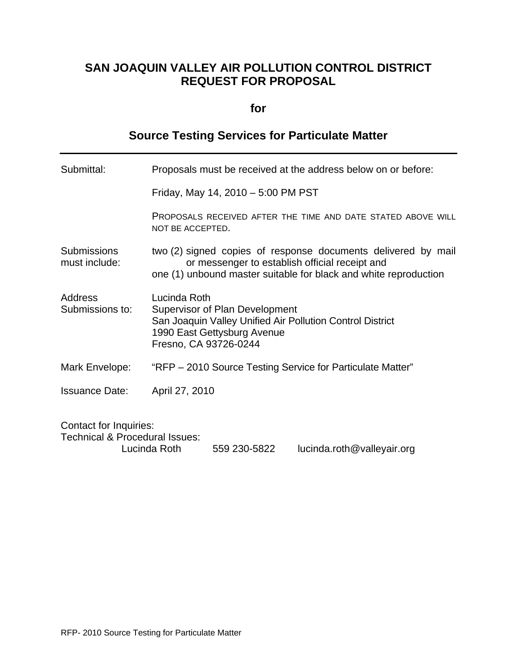## **SAN JOAQUIN VALLEY AIR POLLUTION CONTROL DISTRICT REQUEST FOR PROPOSAL**

## **for**

# **Source Testing Services for Particulate Matter**

| Submittal:                                                                 | Proposals must be received at the address below on or before:                                                                                                                       |  |  |
|----------------------------------------------------------------------------|-------------------------------------------------------------------------------------------------------------------------------------------------------------------------------------|--|--|
|                                                                            | Friday, May 14, 2010 - 5:00 PM PST                                                                                                                                                  |  |  |
|                                                                            | PROPOSALS RECEIVED AFTER THE TIME AND DATE STATED ABOVE WILL<br>NOT BE ACCEPTED.                                                                                                    |  |  |
| <b>Submissions</b><br>must include:                                        | two (2) signed copies of response documents delivered by mail<br>or messenger to establish official receipt and<br>one (1) unbound master suitable for black and white reproduction |  |  |
| Address<br>Submissions to:                                                 | Lucinda Roth<br><b>Supervisor of Plan Development</b><br>San Joaquin Valley Unified Air Pollution Control District<br>1990 East Gettysburg Avenue<br>Fresno, CA 93726-0244          |  |  |
| Mark Envelope:                                                             | "RFP – 2010 Source Testing Service for Particulate Matter"                                                                                                                          |  |  |
| <b>Issuance Date:</b>                                                      | April 27, 2010                                                                                                                                                                      |  |  |
| <b>Contact for Inquiries:</b><br><b>Technical &amp; Procedural Issues:</b> | Lucinda Roth<br>559 230-5822<br>lucinda.roth@valleyair.org                                                                                                                          |  |  |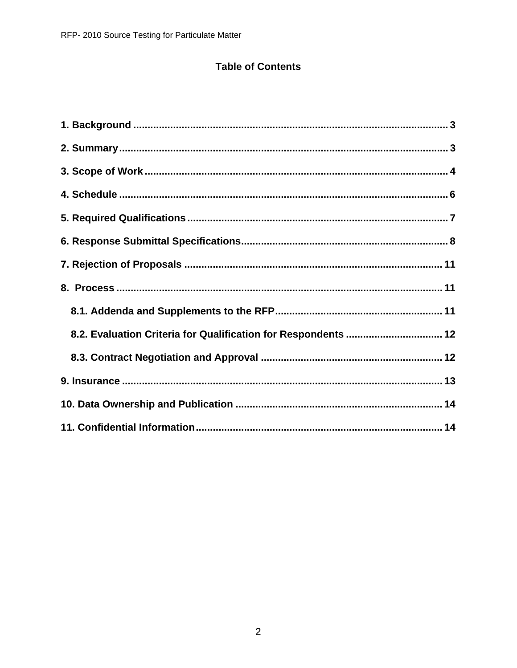## **Table of Contents**

| 8.2. Evaluation Criteria for Qualification for Respondents  12 |  |
|----------------------------------------------------------------|--|
|                                                                |  |
|                                                                |  |
|                                                                |  |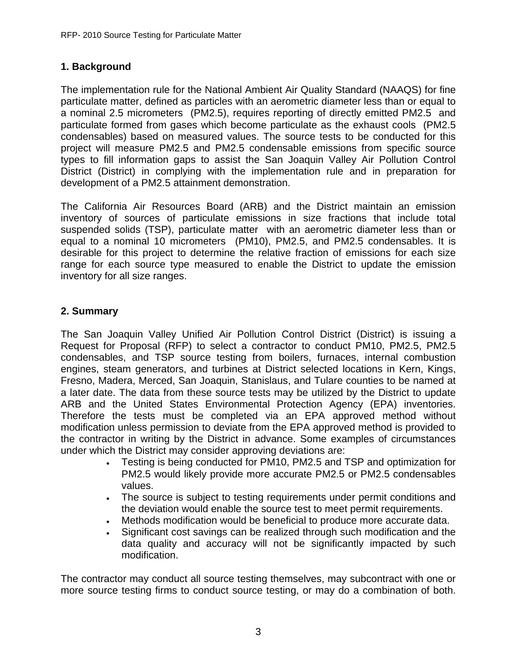### **1. Background**

The implementation rule for the National Ambient Air Quality Standard (NAAQS) for fine particulate matter, defined as particles with an aerometric diameter less than or equal to a nominal 2.5 micrometers (PM2.5), requires reporting of directly emitted PM2.5 and particulate formed from gases which become particulate as the exhaust cools (PM2.5 condensables) based on measured values. The source tests to be conducted for this project will measure PM2.5 and PM2.5 condensable emissions from specific source types to fill information gaps to assist the San Joaquin Valley Air Pollution Control District (District) in complying with the implementation rule and in preparation for development of a PM2.5 attainment demonstration.

The California Air Resources Board (ARB) and the District maintain an emission inventory of sources of particulate emissions in size fractions that include total suspended solids (TSP), particulate matter with an aerometric diameter less than or equal to a nominal 10 micrometers (PM10), PM2.5, and PM2.5 condensables. It is desirable for this project to determine the relative fraction of emissions for each size range for each source type measured to enable the District to update the emission inventory for all size ranges.

### **2. Summary**

The San Joaquin Valley Unified Air Pollution Control District (District) is issuing a Request for Proposal (RFP) to select a contractor to conduct PM10, PM2.5, PM2.5 condensables, and TSP source testing from boilers, furnaces, internal combustion engines, steam generators, and turbines at District selected locations in Kern, Kings, Fresno, Madera, Merced, San Joaquin, Stanislaus, and Tulare counties to be named at a later date. The data from these source tests may be utilized by the District to update ARB and the United States Environmental Protection Agency (EPA) inventories. Therefore the tests must be completed via an EPA approved method without modification unless permission to deviate from the EPA approved method is provided to the contractor in writing by the District in advance. Some examples of circumstances under which the District may consider approving deviations are:

- Testing is being conducted for PM10, PM2.5 and TSP and optimization for PM2.5 would likely provide more accurate PM2.5 or PM2.5 condensables values.
- The source is subject to testing requirements under permit conditions and the deviation would enable the source test to meet permit requirements.
- Methods modification would be beneficial to produce more accurate data.
- Significant cost savings can be realized through such modification and the data quality and accuracy will not be significantly impacted by such modification.

The contractor may conduct all source testing themselves, may subcontract with one or more source testing firms to conduct source testing, or may do a combination of both.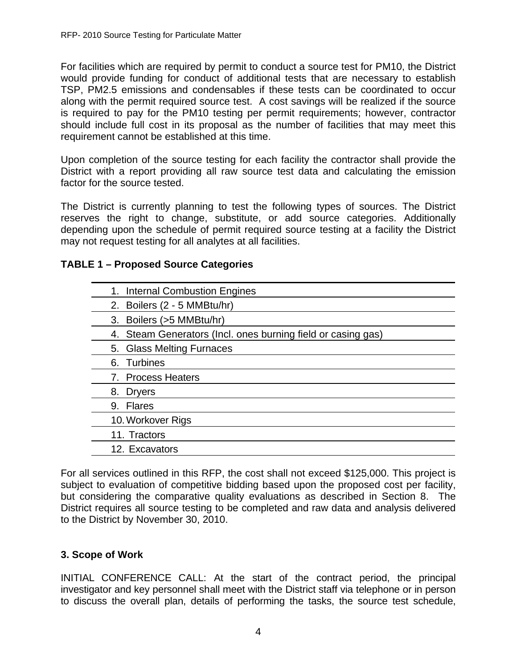For facilities which are required by permit to conduct a source test for PM10, the District would provide funding for conduct of additional tests that are necessary to establish TSP, PM2.5 emissions and condensables if these tests can be coordinated to occur along with the permit required source test. A cost savings will be realized if the source is required to pay for the PM10 testing per permit requirements; however, contractor should include full cost in its proposal as the number of facilities that may meet this requirement cannot be established at this time.

Upon completion of the source testing for each facility the contractor shall provide the District with a report providing all raw source test data and calculating the emission factor for the source tested.

The District is currently planning to test the following types of sources. The District reserves the right to change, substitute, or add source categories. Additionally depending upon the schedule of permit required source testing at a facility the District may not request testing for all analytes at all facilities.

#### **TABLE 1 – Proposed Source Categories**

For all services outlined in this RFP, the cost shall not exceed \$125,000. This project is subject to evaluation of competitive bidding based upon the proposed cost per facility, but considering the comparative quality evaluations as described in Section 8. The District requires all source testing to be completed and raw data and analysis delivered to the District by November 30, 2010.

#### **3. Scope of Work**

INITIAL CONFERENCE CALL: At the start of the contract period, the principal investigator and key personnel shall meet with the District staff via telephone or in person to discuss the overall plan, details of performing the tasks, the source test schedule,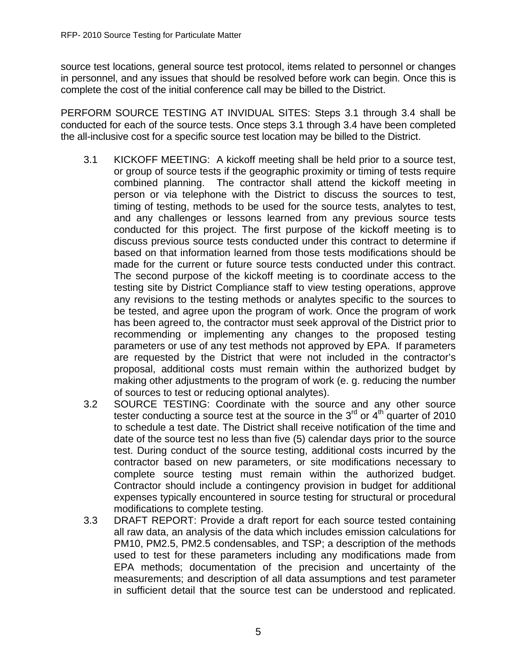source test locations, general source test protocol, items related to personnel or changes in personnel, and any issues that should be resolved before work can begin. Once this is complete the cost of the initial conference call may be billed to the District.

PERFORM SOURCE TESTING AT INVIDUAL SITES: Steps 3.1 through 3.4 shall be conducted for each of the source tests. Once steps 3.1 through 3.4 have been completed the all-inclusive cost for a specific source test location may be billed to the District.

- 3.1 KICKOFF MEETING: A kickoff meeting shall be held prior to a source test, or group of source tests if the geographic proximity or timing of tests require combined planning. The contractor shall attend the kickoff meeting in person or via telephone with the District to discuss the sources to test, timing of testing, methods to be used for the source tests, analytes to test, and any challenges or lessons learned from any previous source tests conducted for this project. The first purpose of the kickoff meeting is to discuss previous source tests conducted under this contract to determine if based on that information learned from those tests modifications should be made for the current or future source tests conducted under this contract. The second purpose of the kickoff meeting is to coordinate access to the testing site by District Compliance staff to view testing operations, approve any revisions to the testing methods or analytes specific to the sources to be tested, and agree upon the program of work. Once the program of work has been agreed to, the contractor must seek approval of the District prior to recommending or implementing any changes to the proposed testing parameters or use of any test methods not approved by EPA. If parameters are requested by the District that were not included in the contractor's proposal, additional costs must remain within the authorized budget by making other adjustments to the program of work (e. g. reducing the number of sources to test or reducing optional analytes).
- 3.2 SOURCE TESTING: Coordinate with the source and any other source tester conducting a source test at the source in the  $3<sup>rd</sup>$  or  $4<sup>th</sup>$  quarter of 2010 to schedule a test date. The District shall receive notification of the time and date of the source test no less than five (5) calendar days prior to the source test. During conduct of the source testing, additional costs incurred by the contractor based on new parameters, or site modifications necessary to complete source testing must remain within the authorized budget. Contractor should include a contingency provision in budget for additional expenses typically encountered in source testing for structural or procedural modifications to complete testing.
- 3.3 DRAFT REPORT: Provide a draft report for each source tested containing all raw data, an analysis of the data which includes emission calculations for PM10, PM2.5, PM2.5 condensables, and TSP; a description of the methods used to test for these parameters including any modifications made from EPA methods; documentation of the precision and uncertainty of the measurements; and description of all data assumptions and test parameter in sufficient detail that the source test can be understood and replicated.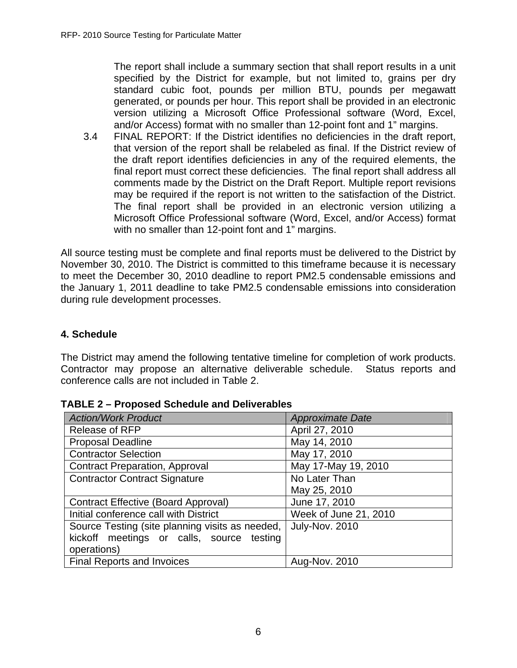The report shall include a summary section that shall report results in a unit specified by the District for example, but not limited to, grains per dry standard cubic foot, pounds per million BTU, pounds per megawatt generated, or pounds per hour. This report shall be provided in an electronic version utilizing a Microsoft Office Professional software (Word, Excel, and/or Access) format with no smaller than 12-point font and 1" margins.

3.4 FINAL REPORT: If the District identifies no deficiencies in the draft report, that version of the report shall be relabeled as final. If the District review of the draft report identifies deficiencies in any of the required elements, the final report must correct these deficiencies. The final report shall address all comments made by the District on the Draft Report. Multiple report revisions may be required if the report is not written to the satisfaction of the District. The final report shall be provided in an electronic version utilizing a Microsoft Office Professional software (Word, Excel, and/or Access) format with no smaller than 12-point font and 1" margins.

All source testing must be complete and final reports must be delivered to the District by November 30, 2010. The District is committed to this timeframe because it is necessary to meet the December 30, 2010 deadline to report PM2.5 condensable emissions and the January 1, 2011 deadline to take PM2.5 condensable emissions into consideration during rule development processes.

## **4. Schedule**

The District may amend the following tentative timeline for completion of work products. Contractor may propose an alternative deliverable schedule. Status reports and conference calls are not included in Table 2.

| <b>Action/Work Product</b>                      | <b>Approximate Date</b> |
|-------------------------------------------------|-------------------------|
| <b>Release of RFP</b>                           | April 27, 2010          |
| <b>Proposal Deadline</b>                        | May 14, 2010            |
| <b>Contractor Selection</b>                     | May 17, 2010            |
| <b>Contract Preparation, Approval</b>           | May 17-May 19, 2010     |
| <b>Contractor Contract Signature</b>            | No Later Than           |
|                                                 | May 25, 2010            |
| <b>Contract Effective (Board Approval)</b>      | June 17, 2010           |
| Initial conference call with District           | Week of June 21, 2010   |
| Source Testing (site planning visits as needed, | July-Nov. 2010          |
| kickoff meetings or calls, source testing       |                         |
| operations)                                     |                         |
| <b>Final Reports and Invoices</b>               | Aug-Nov. 2010           |

**TABLE 2 – Proposed Schedule and Deliverables**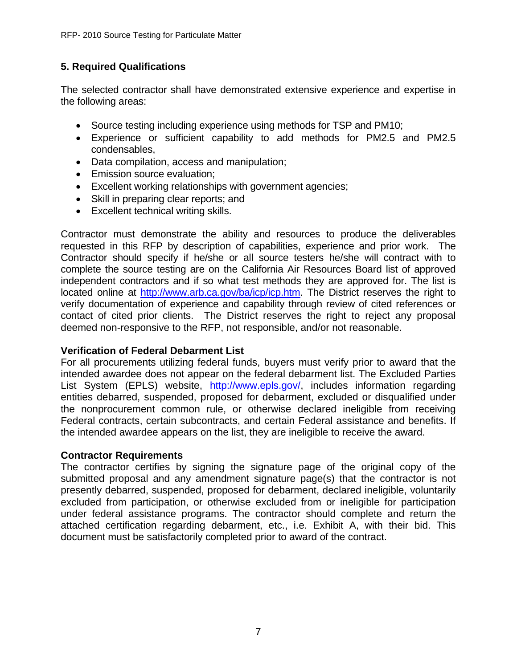## **5. Required Qualifications**

The selected contractor shall have demonstrated extensive experience and expertise in the following areas:

- Source testing including experience using methods for TSP and PM10;
- Experience or sufficient capability to add methods for PM2.5 and PM2.5 condensables,
- Data compilation, access and manipulation;
- Emission source evaluation;
- Excellent working relationships with government agencies;
- Skill in preparing clear reports; and
- Excellent technical writing skills.

Contractor must demonstrate the ability and resources to produce the deliverables requested in this RFP by description of capabilities, experience and prior work. The Contractor should specify if he/she or all source testers he/she will contract with to complete the source testing are on the California Air Resources Board list of approved independent contractors and if so what test methods they are approved for. The list is located online at http://www.arb.ca.gov/ba/icp/icp.htm. The District reserves the right to verify documentation of experience and capability through review of cited references or contact of cited prior clients. The District reserves the right to reject any proposal deemed non-responsive to the RFP, not responsible, and/or not reasonable.

#### **Verification of Federal Debarment List**

For all procurements utilizing federal funds, buyers must verify prior to award that the intended awardee does not appear on the federal debarment list. The Excluded Parties List System (EPLS) website, http://www.epls.gov/, includes information regarding entities debarred, suspended, proposed for debarment, excluded or disqualified under the nonprocurement common rule, or otherwise declared ineligible from receiving Federal contracts, certain subcontracts, and certain Federal assistance and benefits. If the intended awardee appears on the list, they are ineligible to receive the award.

#### **Contractor Requirements**

The contractor certifies by signing the signature page of the original copy of the submitted proposal and any amendment signature page(s) that the contractor is not presently debarred, suspended, proposed for debarment, declared ineligible, voluntarily excluded from participation, or otherwise excluded from or ineligible for participation under federal assistance programs. The contractor should complete and return the attached certification regarding debarment, etc., i.e. Exhibit A, with their bid. This document must be satisfactorily completed prior to award of the contract.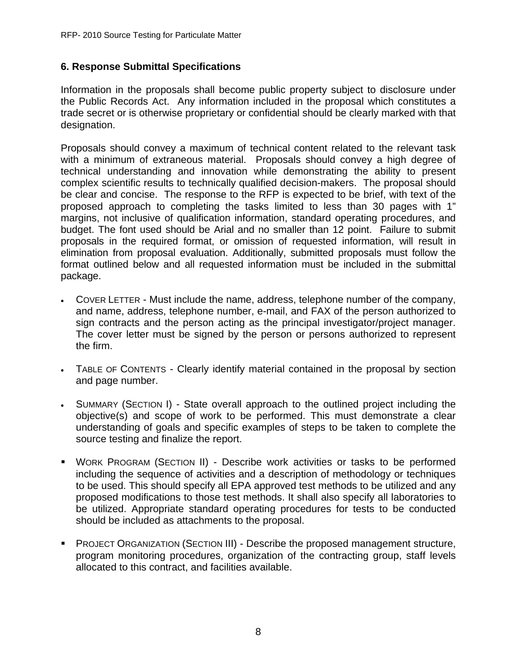### **6. Response Submittal Specifications**

Information in the proposals shall become public property subject to disclosure under the Public Records Act. Any information included in the proposal which constitutes a trade secret or is otherwise proprietary or confidential should be clearly marked with that designation.

Proposals should convey a maximum of technical content related to the relevant task with a minimum of extraneous material. Proposals should convey a high degree of technical understanding and innovation while demonstrating the ability to present complex scientific results to technically qualified decision-makers. The proposal should be clear and concise. The response to the RFP is expected to be brief, with text of the proposed approach to completing the tasks limited to less than 30 pages with 1" margins, not inclusive of qualification information, standard operating procedures, and budget. The font used should be Arial and no smaller than 12 point. Failure to submit proposals in the required format, or omission of requested information, will result in elimination from proposal evaluation. Additionally, submitted proposals must follow the format outlined below and all requested information must be included in the submittal package.

- COVER LETTER Must include the name, address, telephone number of the company, and name, address, telephone number, e-mail, and FAX of the person authorized to sign contracts and the person acting as the principal investigator/project manager. The cover letter must be signed by the person or persons authorized to represent the firm.
- TABLE OF CONTENTS Clearly identify material contained in the proposal by section and page number.
- SUMMARY (SECTION I) State overall approach to the outlined project including the objective(s) and scope of work to be performed. This must demonstrate a clear understanding of goals and specific examples of steps to be taken to complete the source testing and finalize the report.
- WORK PROGRAM (SECTION II) Describe work activities or tasks to be performed including the sequence of activities and a description of methodology or techniques to be used. This should specify all EPA approved test methods to be utilized and any proposed modifications to those test methods. It shall also specify all laboratories to be utilized. Appropriate standard operating procedures for tests to be conducted should be included as attachments to the proposal.
- PROJECT ORGANIZATION (SECTION III) Describe the proposed management structure, program monitoring procedures, organization of the contracting group, staff levels allocated to this contract, and facilities available.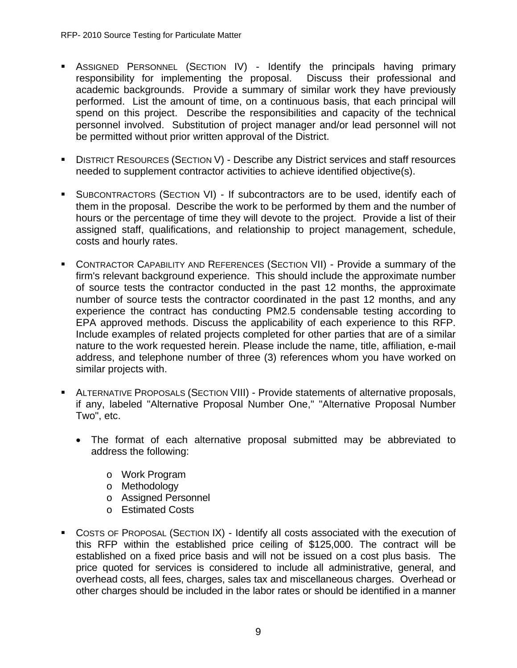- **-** ASSIGNED PERSONNEL (SECTION IV) Identify the principals having primary responsibility for implementing the proposal. Discuss their professional and academic backgrounds. Provide a summary of similar work they have previously performed. List the amount of time, on a continuous basis, that each principal will spend on this project. Describe the responsibilities and capacity of the technical personnel involved. Substitution of project manager and/or lead personnel will not be permitted without prior written approval of the District.
- **DISTRICT RESOURCES (SECTION V) Describe any District services and staff resources** needed to supplement contractor activities to achieve identified objective(s).
- SUBCONTRACTORS (SECTION VI) If subcontractors are to be used, identify each of them in the proposal. Describe the work to be performed by them and the number of hours or the percentage of time they will devote to the project. Provide a list of their assigned staff, qualifications, and relationship to project management, schedule, costs and hourly rates.
- CONTRACTOR CAPABILITY AND REFERENCES (SECTION VII) Provide a summary of the firm's relevant background experience. This should include the approximate number of source tests the contractor conducted in the past 12 months, the approximate number of source tests the contractor coordinated in the past 12 months, and any experience the contract has conducting PM2.5 condensable testing according to EPA approved methods. Discuss the applicability of each experience to this RFP. Include examples of related projects completed for other parties that are of a similar nature to the work requested herein. Please include the name, title, affiliation, e-mail address, and telephone number of three (3) references whom you have worked on similar projects with.
- ALTERNATIVE PROPOSALS (SECTION VIII) Provide statements of alternative proposals, if any, labeled "Alternative Proposal Number One," "Alternative Proposal Number Two", etc.
	- The format of each alternative proposal submitted may be abbreviated to address the following:
		- o Work Program
		- o Methodology
		- o Assigned Personnel
		- o Estimated Costs
- COSTS OF PROPOSAL (SECTION IX) Identify all costs associated with the execution of this RFP within the established price ceiling of \$125,000. The contract will be established on a fixed price basis and will not be issued on a cost plus basis. The price quoted for services is considered to include all administrative, general, and overhead costs, all fees, charges, sales tax and miscellaneous charges. Overhead or other charges should be included in the labor rates or should be identified in a manner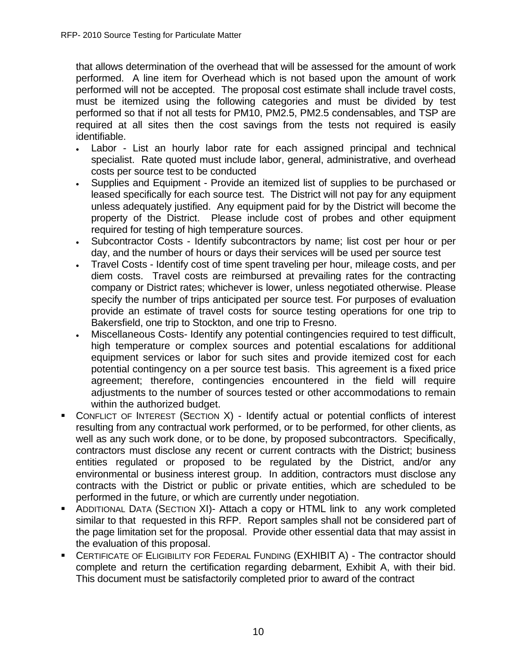that allows determination of the overhead that will be assessed for the amount of work performed. A line item for Overhead which is not based upon the amount of work performed will not be accepted. The proposal cost estimate shall include travel costs, must be itemized using the following categories and must be divided by test performed so that if not all tests for PM10, PM2.5, PM2.5 condensables, and TSP are required at all sites then the cost savings from the tests not required is easily identifiable.

- Labor List an hourly labor rate for each assigned principal and technical specialist. Rate quoted must include labor, general, administrative, and overhead costs per source test to be conducted
- Supplies and Equipment Provide an itemized list of supplies to be purchased or leased specifically for each source test. The District will not pay for any equipment unless adequately justified. Any equipment paid for by the District will become the property of the District. Please include cost of probes and other equipment required for testing of high temperature sources.
- Subcontractor Costs Identify subcontractors by name; list cost per hour or per day, and the number of hours or days their services will be used per source test
- Travel Costs Identify cost of time spent traveling per hour, mileage costs, and per diem costs. Travel costs are reimbursed at prevailing rates for the contracting company or District rates; whichever is lower, unless negotiated otherwise. Please specify the number of trips anticipated per source test. For purposes of evaluation provide an estimate of travel costs for source testing operations for one trip to Bakersfield, one trip to Stockton, and one trip to Fresno.
- Miscellaneous Costs- Identify any potential contingencies required to test difficult, high temperature or complex sources and potential escalations for additional equipment services or labor for such sites and provide itemized cost for each potential contingency on a per source test basis. This agreement is a fixed price agreement; therefore, contingencies encountered in the field will require adjustments to the number of sources tested or other accommodations to remain within the authorized budget.
- CONFLICT OF INTEREST (SECTION X) Identify actual or potential conflicts of interest resulting from any contractual work performed, or to be performed, for other clients, as well as any such work done, or to be done, by proposed subcontractors. Specifically, contractors must disclose any recent or current contracts with the District; business entities regulated or proposed to be regulated by the District, and/or any environmental or business interest group. In addition, contractors must disclose any contracts with the District or public or private entities, which are scheduled to be performed in the future, or which are currently under negotiation.
- ADDITIONAL DATA (SECTION XI)- Attach a copy or HTML link to any work completed similar to that requested in this RFP. Report samples shall not be considered part of the page limitation set for the proposal. Provide other essential data that may assist in the evaluation of this proposal.
- **CERTIFICATE OF ELIGIBILITY FOR FEDERAL FUNDING (EXHIBIT A) The contractor should** complete and return the certification regarding debarment, Exhibit A, with their bid. This document must be satisfactorily completed prior to award of the contract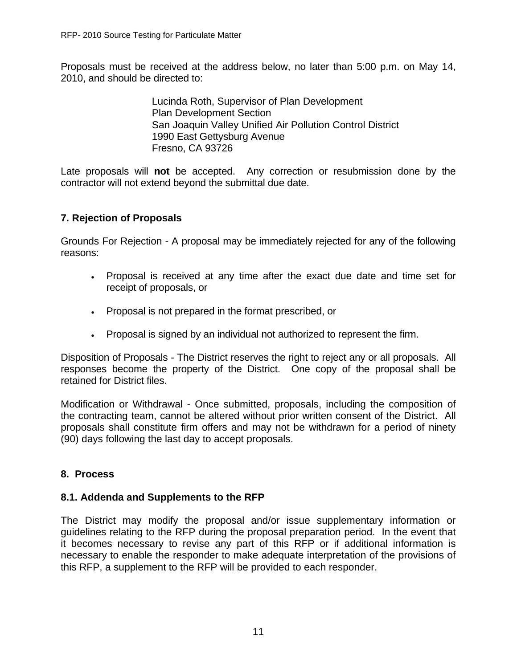Proposals must be received at the address below, no later than 5:00 p.m. on May 14, 2010, and should be directed to:

> Lucinda Roth, Supervisor of Plan Development Plan Development Section San Joaquin Valley Unified Air Pollution Control District 1990 East Gettysburg Avenue Fresno, CA 93726

Late proposals will **not** be accepted. Any correction or resubmission done by the contractor will not extend beyond the submittal due date.

### **7. Rejection of Proposals**

Grounds For Rejection - A proposal may be immediately rejected for any of the following reasons:

- Proposal is received at any time after the exact due date and time set for receipt of proposals, or
- Proposal is not prepared in the format prescribed, or
- Proposal is signed by an individual not authorized to represent the firm.

Disposition of Proposals - The District reserves the right to reject any or all proposals. All responses become the property of the District. One copy of the proposal shall be retained for District files.

Modification or Withdrawal - Once submitted, proposals, including the composition of the contracting team, cannot be altered without prior written consent of the District. All proposals shall constitute firm offers and may not be withdrawn for a period of ninety (90) days following the last day to accept proposals.

#### **8. Process**

#### **8.1. Addenda and Supplements to the RFP**

The District may modify the proposal and/or issue supplementary information or guidelines relating to the RFP during the proposal preparation period. In the event that it becomes necessary to revise any part of this RFP or if additional information is necessary to enable the responder to make adequate interpretation of the provisions of this RFP, a supplement to the RFP will be provided to each responder.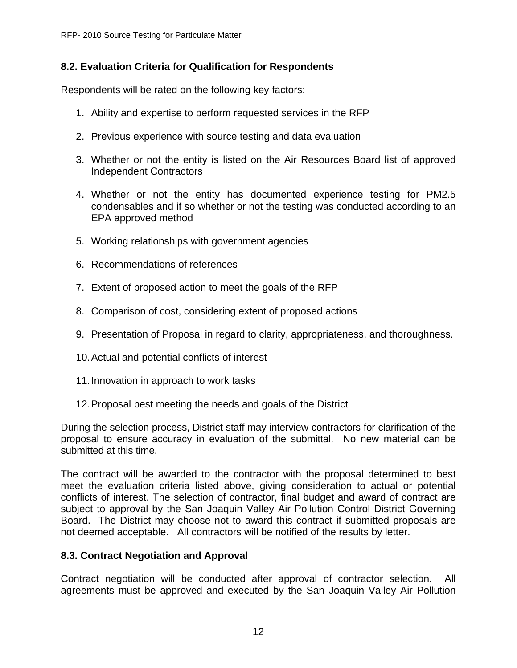## **8.2. Evaluation Criteria for Qualification for Respondents**

Respondents will be rated on the following key factors:

- 1. Ability and expertise to perform requested services in the RFP
- 2. Previous experience with source testing and data evaluation
- 3. Whether or not the entity is listed on the Air Resources Board list of approved Independent Contractors
- 4. Whether or not the entity has documented experience testing for PM2.5 condensables and if so whether or not the testing was conducted according to an EPA approved method
- 5. Working relationships with government agencies
- 6. Recommendations of references
- 7. Extent of proposed action to meet the goals of the RFP
- 8. Comparison of cost, considering extent of proposed actions
- 9. Presentation of Proposal in regard to clarity, appropriateness, and thoroughness.
- 10. Actual and potential conflicts of interest
- 11. Innovation in approach to work tasks
- 12. Proposal best meeting the needs and goals of the District

During the selection process, District staff may interview contractors for clarification of the proposal to ensure accuracy in evaluation of the submittal. No new material can be submitted at this time.

The contract will be awarded to the contractor with the proposal determined to best meet the evaluation criteria listed above, giving consideration to actual or potential conflicts of interest. The selection of contractor, final budget and award of contract are subject to approval by the San Joaquin Valley Air Pollution Control District Governing Board. The District may choose not to award this contract if submitted proposals are not deemed acceptable. All contractors will be notified of the results by letter.

### **8.3. Contract Negotiation and Approval**

Contract negotiation will be conducted after approval of contractor selection. All agreements must be approved and executed by the San Joaquin Valley Air Pollution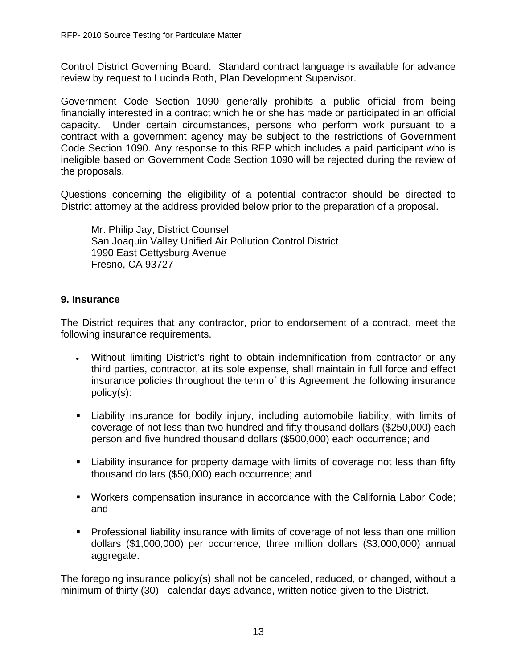Control District Governing Board. Standard contract language is available for advance review by request to Lucinda Roth, Plan Development Supervisor.

Government Code Section 1090 generally prohibits a public official from being financially interested in a contract which he or she has made or participated in an official capacity. Under certain circumstances, persons who perform work pursuant to a contract with a government agency may be subject to the restrictions of Government Code Section 1090. Any response to this RFP which includes a paid participant who is ineligible based on Government Code Section 1090 will be rejected during the review of the proposals.

Questions concerning the eligibility of a potential contractor should be directed to District attorney at the address provided below prior to the preparation of a proposal.

Mr. Philip Jay, District Counsel San Joaquin Valley Unified Air Pollution Control District 1990 East Gettysburg Avenue Fresno, CA 93727

## **9. Insurance**

The District requires that any contractor, prior to endorsement of a contract, meet the following insurance requirements.

- Without limiting District's right to obtain indemnification from contractor or any third parties, contractor, at its sole expense, shall maintain in full force and effect insurance policies throughout the term of this Agreement the following insurance policy(s):
- Liability insurance for bodily injury, including automobile liability, with limits of coverage of not less than two hundred and fifty thousand dollars (\$250,000) each person and five hundred thousand dollars (\$500,000) each occurrence; and
- Liability insurance for property damage with limits of coverage not less than fifty thousand dollars (\$50,000) each occurrence; and
- Workers compensation insurance in accordance with the California Labor Code; and
- Professional liability insurance with limits of coverage of not less than one million dollars (\$1,000,000) per occurrence, three million dollars (\$3,000,000) annual aggregate.

The foregoing insurance policy(s) shall not be canceled, reduced, or changed, without a minimum of thirty (30) - calendar days advance, written notice given to the District.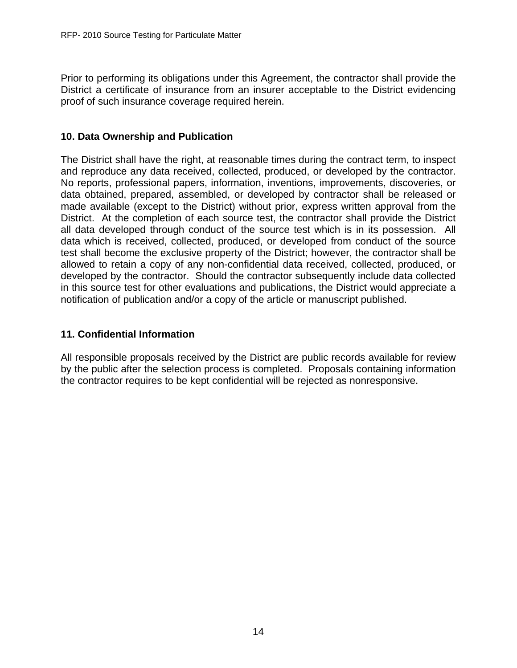Prior to performing its obligations under this Agreement, the contractor shall provide the District a certificate of insurance from an insurer acceptable to the District evidencing proof of such insurance coverage required herein.

#### **10. Data Ownership and Publication**

The District shall have the right, at reasonable times during the contract term, to inspect and reproduce any data received, collected, produced, or developed by the contractor. No reports, professional papers, information, inventions, improvements, discoveries, or data obtained, prepared, assembled, or developed by contractor shall be released or made available (except to the District) without prior, express written approval from the District. At the completion of each source test, the contractor shall provide the District all data developed through conduct of the source test which is in its possession. All data which is received, collected, produced, or developed from conduct of the source test shall become the exclusive property of the District; however, the contractor shall be allowed to retain a copy of any non-confidential data received, collected, produced, or developed by the contractor. Should the contractor subsequently include data collected in this source test for other evaluations and publications, the District would appreciate a notification of publication and/or a copy of the article or manuscript published.

### **11. Confidential Information**

All responsible proposals received by the District are public records available for review by the public after the selection process is completed. Proposals containing information the contractor requires to be kept confidential will be rejected as nonresponsive.